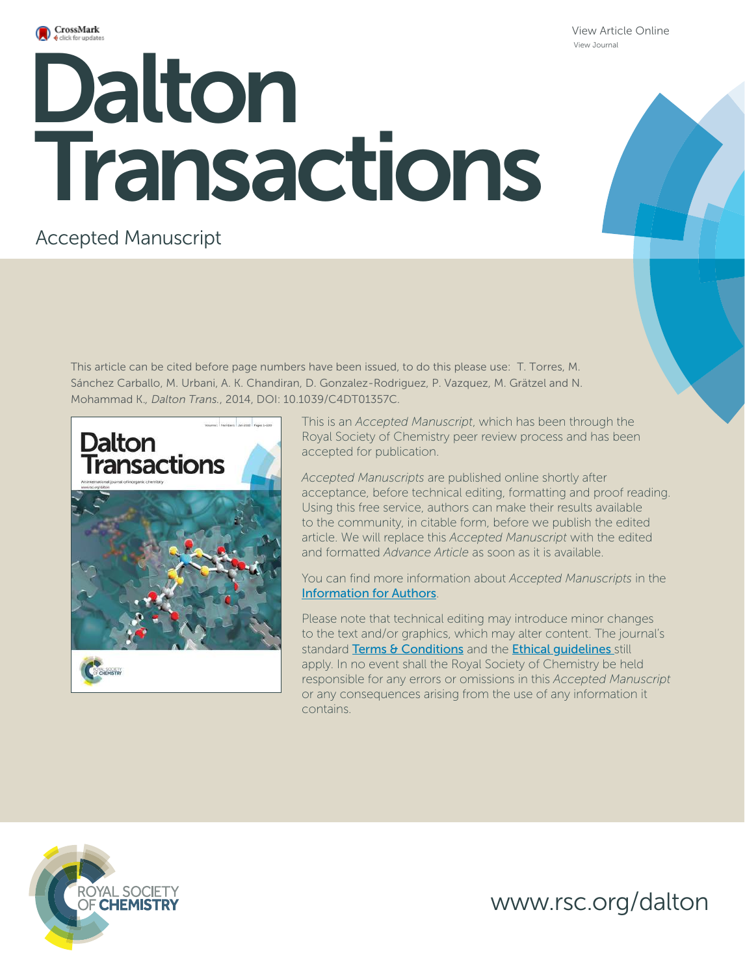

View Article Online View Journal

# **Dalton**<br>Dalton Roll Transactions

# Accepted Manuscript

This article can be cited before page numbers have been issued, to do this please use: T. Torres, M. Sánchez Carballo, M. Urbani, A. K. Chandiran, D. Gonzalez-Rodriguez, P. Vazquez, M. Grätzel and N. Mohammad K.*, Dalton Trans.*, 2014, DOI: 10.1039/C4DT01357C.



This is an *Accepted Manuscript*, which has been through the Royal Society of Chemistry peer review process and has been accepted for publication.

*Accepted Manuscripts* are published online shortly after acceptance, before technical editing, formatting and proof reading. Using this free service, authors can make their results available to the community, in citable form, before we publish the edited article. We will replace this *Accepted Manuscript* with the edited and formatted *Advance Article* as soon as it is available.

You can find more information about *Accepted Manuscripts* in the Information for Authors.

Please note that technical editing may introduce minor changes to the text and/or graphics, which may alter content. The journal's standard Terms & Conditions and the Ethical quidelines still apply. In no event shall the Royal Society of Chemistry be held responsible for any errors or omissions in this *Accepted Manuscript* or any consequences arising from the use of any information it contains.



www.rsc.org/dalton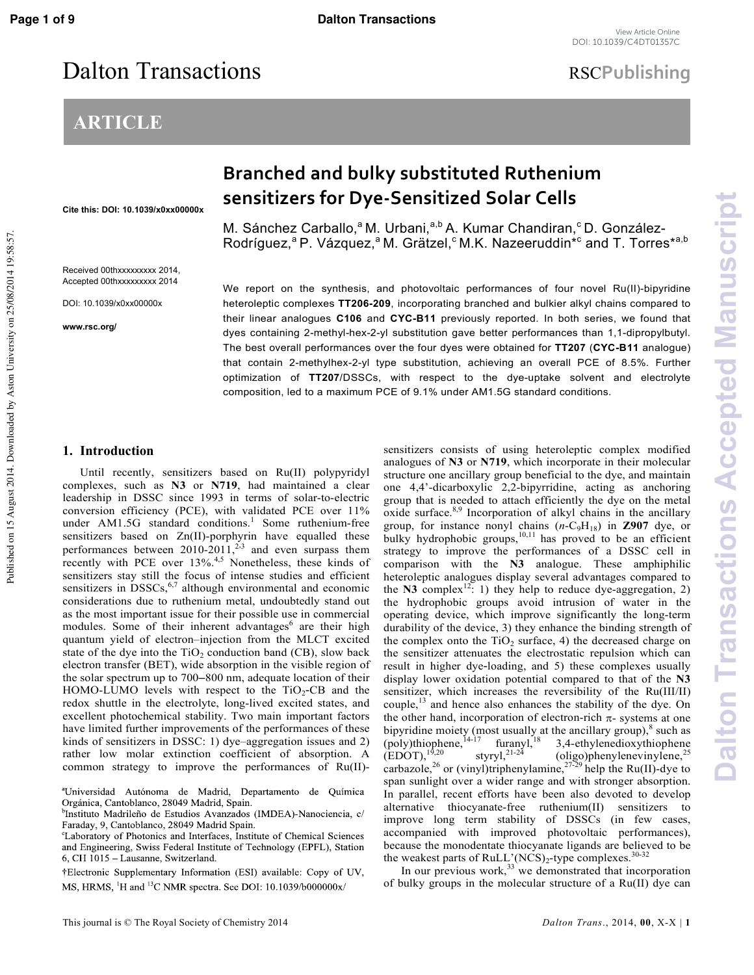# Dalton Transactions **RSCPublishing**

# **ARTICLE**

**Dalton Transactions Accepted Manuscript**

Dalton Transactions Accepted Manuscript

# **Branched and bulky substituted Ruthenium sensitizers for Dye-Sensitized Solar Cells**

Cite this: DOI: 10.1039/x0xx00000x

Received 00thxxxxxxxxx 2014, Accepted 00thxxxxxxxxx 2014

DOI: 10.1039/x0xx00000x

www.rsc.org/

M. Sánchez Carballo,<sup>a</sup> M. Urbani,<sup>a,b</sup> A. Kumar Chandiran,<sup>c</sup> D. González-Rodríguez,<sup>a</sup> P. Vázquez,<sup>a</sup> M. Grätzel,<sup>c</sup> M.K. Nazeeruddin\*<sup>c</sup> and T. Torres\*<sup>a,b</sup>

We report on the synthesis, and photovoltaic performances of four novel Ru(II)-bipyridine heteroleptic complexes TT206-209, incorporating branched and bulkier alkyl chains compared to their linear analogues C106 and CYC-B11 previously reported. In both series, we found that dyes containing 2-methyl-hex-2-yl substitution gave better performances than 1,1-dipropylbutyl. The best overall performances over the four dyes were obtained for TT207 (CYC-B11 analogue) that contain 2-methylhex-2-yl type substitution, achieving an overall PCE of 8.5%. Further optimization of TT207/DSSCs, with respect to the dye-uptake solvent and electrolyte composition, led to a maximum PCE of 9.1% under AM1.5G standard conditions.

## **1. Introduction**

 Until recently, sensitizers based on Ru(II) polypyridyl complexes, such as **N3** or **N719**, had maintained a clear leadership in DSSC since 1993 in terms of solar-to-electric conversion efficiency (PCE), with validated PCE over 11% under AM1.5G standard conditions.<sup>1</sup> Some ruthenium-free sensitizers based on  $Zn(II)$ -porphyrin have equalled these performances between  $2010-2011$ ,<sup>2,3</sup> and even surpass them recently with PCE over 13%.<sup>4,5</sup> Nonetheless, these kinds of sensitizers stay still the focus of intense studies and efficient sensitizers in  $DSSCs$ ,<sup>6,7</sup> although environmental and economic considerations due to ruthenium metal, undoubtedly stand out as the most important issue for their possible use in commercial modules. Some of their inherent advantages<sup>6</sup> are their high quantum yield of electron-injection from the MLCT excited state of the dye into the  $TiO<sub>2</sub>$  conduction band (CB), slow back electron transfer (BET), wide absorption in the visible region of the solar spectrum up to 700–800 nm, adequate location of their HOMO-LUMO levels with respect to the  $TiO<sub>2</sub>-CB$  and the redox shuttle in the electrolyte, long-lived excited states, and excellent photochemical stability. Two main important factors have limited further improvements of the performances of these kinds of sensitizers in DSSC: 1) dye-aggregation issues and 2) rather low molar extinction coefficient of absorption. A common strategy to improve the performances of Ru(II)

†Electronic Supplementary Information (ESI) available: Copy of UV, MS, HRMS, <sup>1</sup>H and <sup>13</sup>C NMR spectra. See DOI: 10.1039/b000000x/

sensitizers consists of using heteroleptic complex modified analogues of **N3** or **N719**, which incorporate in their molecular structure one ancillary group beneficial to the dye, and maintain one 4,4'dicarboxylic 2,2bipyrridine, acting as anchoring group that is needed to attach efficiently the dye on the metal oxide surface.<sup>8,9</sup> Incorporation of alkyl chains in the ancillary group, for instance nonyl chains  $(n-C_9H_{18})$  in **Z907** dye, or bulky hydrophobic groups, $^{10,11}$  has proved to be an efficient strategy to improve the performances of a DSSC cell in comparison with the **N3** analogue. These amphiphilic heteroleptic analogues display several advantages compared to the  $N3$  complex<sup>12</sup>: 1) they help to reduce dye-aggregation, 2) the hydrophobic groups avoid intrusion of water in the operating device, which improve significantly the long-term durability of the device, 3) they enhance the binding strength of the complex onto the  $TiO<sub>2</sub>$  surface, 4) the decreased charge on the sensitizer attenuates the electrostatic repulsion which can result in higher dye-loading, and 5) these complexes usually display lower oxidation potential compared to that of the **N3** sensitizer, which increases the reversibility of the Ru(III/II) couple,<sup>13</sup> and hence also enhances the stability of the dye. On the other hand, incorporation of electron-rich  $\pi$ - systems at one bipyridine moiety (most usually at the ancillary group), $8$  such as (poly)thiophene,  $^{14-17}$  furanyl,  $^{18}$  3, 4-ethylenedioxythiophene (EDOT),  $^{19,20}$  styryl,  $^{21-24}$  (oligo)phenylenevinylene,  $^{25}$  $(oligo)$ phenylenevinylene,<sup>25</sup> carbazole,<sup>26</sup> or (vinyl)triphenylamine,<sup>27-29</sup> help the Ru(II)-dye to span sunlight over a wider range and with stronger absorption. In parallel, recent efforts have been also devoted to develop alternative thiocyanate-free ruthenium(II) sensitizers to improve long term stability of DSSCs (in few cases, accompanied with improved photovoltaic performances), because the monodentate thiocyanate ligands are believed to be the weakest parts of RuLL'(NCS)<sub>2</sub>-type complexes.<sup>30-32</sup>

In our previous work,  $33$  we demonstrated that incorporation of bulky groups in the molecular structure of a Ru(II) dye can

<sup>&</sup>lt;sup>a</sup>Universidad Autónoma de Madrid, Departamento de Química Orgánica, Cantoblanco, 28049 Madrid, Spain.

<sup>&</sup>lt;sup>b</sup>Instituto Madrileño de Estudios Avanzados (IMDEA)-Nanociencia, c/ Faraday, 9, Cantoblanco, 28049 Madrid Spain.

<sup>&</sup>lt;sup>c</sup>Laboratory of Photonics and Interfaces, Institute of Chemical Sciences and Engineering, Swiss Federal Institute of Technology (EPFL), Station 6, CH 1015 - Lausanne, Switzerland.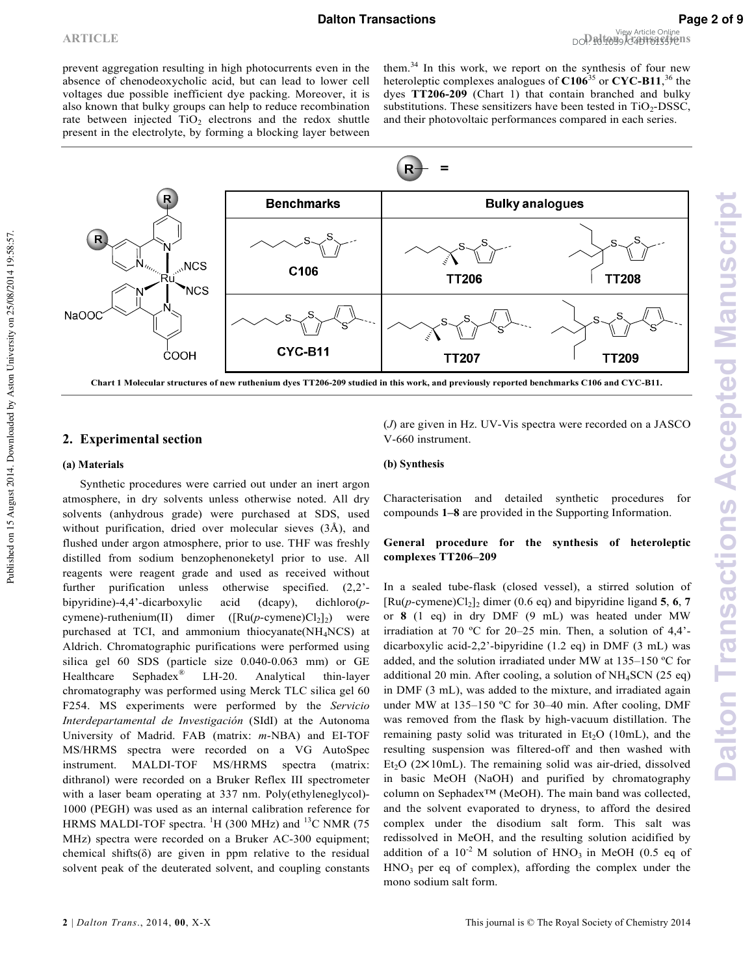prevent aggregation resulting in high photocurrents even in the absence of chenodeoxycholic acid, but can lead to lower cell voltages due possible inefficient dye packing. Moreover, it is also known that bulky groups can help to reduce recombination rate between injected  $TiO<sub>2</sub>$  electrons and the redox shuttle present in the electrolyte, by forming a blocking layer between

them.<sup>34</sup> In this work, we report on the synthesis of four new heteroleptic complexes analogues of **C106**<sup>35</sup> or **CYC B11**, <sup>36</sup> the dyes **TT206 209** (Chart 1) that contain branched and bulky substitutions. These sensitizers have been tested in  $TiO<sub>2</sub>-DSSC$ , and their photovoltaic performances compared in each series.



## **2. Experimental section**

#### **(a) Materials**

Published on 15 August 2014. Downloaded by Aston University on 25/08/2014 19:58:57.

Published on 15 August 2014. Downloaded by Aston University on 25/08/2014 19:58:57.

 Synthetic procedures were carried out under an inert argon atmosphere, in dry solvents unless otherwise noted. All dry solvents (anhydrous grade) were purchased at SDS, used without purification, dried over molecular sieves (3Å), and flushed under argon atmosphere, prior to use. THF was freshly distilled from sodium benzophenoneketyl prior to use. All reagents were reagent grade and used as received without further purification unless otherwise specified.  $(2,2)$ bipyridine)-4,4'-dicarboxylic acid (dcapy), dichloro(pcymene)-ruthenium(II) dimer  $([Ru(p\text{-cymene})Cl<sub>2</sub>]_{2})$ ) were purchased at TCI, and ammonium thiocyanate(NH4NCS) at Aldrich. Chromatographic purifications were performed using silica gel 60 SDS (particle size  $0.040-0.063$  mm) or GE Healthcare Sephadex<sup>®</sup> LH-20. Analytical thin-layer chromatography was performed using Merck TLC silica gel 60 F254. MS experiments were performed by the *Servicio* Interdepartamental de Investigación (SIdI) at the Autonoma University of Madrid. FAB (matrix:  $m$ -NBA) and EI-TOF MS/HRMS spectra were recorded on a VG AutoSpec instrument. MALDI-TOF MS/HRMS spectra (matrix: dithranol) were recorded on a Bruker Reflex III spectrometer with a laser beam operating at 337 nm. Poly(ethyleneglycol) 1000 (PEGH) was used as an internal calibration reference for HRMS MALDI-TOF spectra.  ${}^{1}H$  (300 MHz) and  ${}^{13}C$  NMR (75 MHz) spectra were recorded on a Bruker AC-300 equipment; chemical shifts( $\delta$ ) are given in ppm relative to the residual solvent peak of the deuterated solvent, and coupling constants

 $(J)$  are given in Hz. UV-Vis spectra were recorded on a JASCO V-660 instrument.

#### **(b) Synthesis**

Characterisation and detailed synthetic procedures for compounds **1‒8** are provided in the Supporting Information.

## **General procedure for the synthesis of heteroleptic complexes TT206–209**

In a sealed tube-flask (closed vessel), a stirred solution of  $[Ru(p\text{-cymene})Cl_2]_2$  dimer (0.6 eq) and bipyridine ligand **5**, **6**, **7** or **8** (1 eq) in dry DMF (9 mL) was heated under MW irradiation at 70 ºC for 20–25 min. Then, a solution of 4,4' dicarboxylic acid-2,2'-bipyridine  $(1.2 \text{ eq})$  in DMF  $(3 \text{ mL})$  was added, and the solution irradiated under MW at 135–150 ºC for additional 20 min. After cooling, a solution of NH4SCN (25 eq) in DMF (3 mL), was added to the mixture, and irradiated again under MW at 135–150 °C for 30–40 min. After cooling, DMF was removed from the flask by high-vacuum distillation. The remaining pasty solid was triturated in  $Et<sub>2</sub>O$  (10mL), and the resulting suspension was filtered-off and then washed with Et<sub>2</sub>O ( $2 \times 10$ mL). The remaining solid was air-dried, dissolved in basic MeOH (NaOH) and purified by chromatography column on Sephadex™ (MeOH). The main band was collected, and the solvent evaporated to dryness, to afford the desired complex under the disodium salt form. This salt was redissolved in MeOH, and the resulting solution acidified by addition of a  $10^{-2}$  M solution of HNO<sub>3</sub> in MeOH (0.5 eq of  $HNO<sub>3</sub>$  per eq of complex), affording the complex under the mono sodium salt form.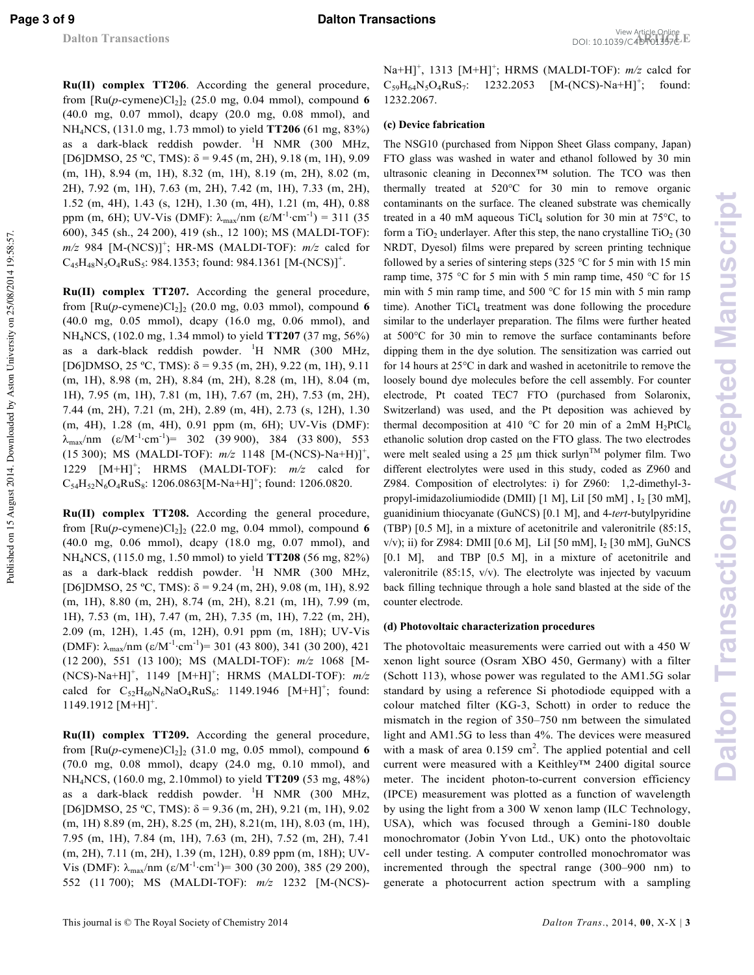Published on 15 August 2014. Downloaded by Aston University on 25/08/2014 19:58:57.

Published on 15 August 2014. Downloaded by Aston University on 25/08/2014 19:58:57

**Page 3 of 9 Dalton Transactions** 

**Ru(II) complex TT206**. According the general procedure, from  $\left[\text{Ru}(p\text{-cymene})\text{Cl}_2\right]_2$  (25.0 mg, 0.04 mmol), compound 6 (40.0 mg, 0.07 mmol), dcapy (20.0 mg, 0.08 mmol), and NH4NCS, (131.0 mg, 1.73 mmol) to yield **TT206** (61 mg, 83%) as a dark-black reddish powder.  ${}^{1}H$  NMR (300 MHz, [D6]DMSO, 25 ºC, TMS): δ = 9.45 (m, 2H), 9.18 (m, 1H), 9.09 (m, 1H), 8.94 (m, 1H), 8.32 (m, 1H), 8.19 (m, 2H), 8.02 (m, 2H), 7.92 (m, 1H), 7.63 (m, 2H), 7.42 (m, 1H), 7.33 (m, 2H), 1.52 (m, 4H), 1.43 (s, 12H), 1.30 (m, 4H), 1.21 (m, 4H), 0.88 ppm (m, 6H); UV-Vis (DMF):  $\lambda_{\text{max}}/\text{nm}$  (ε/M<sup>-1</sup>·cm<sup>-1</sup>) = 311 (35 600), 345 (sh., 24 200), 419 (sh., 12 100); MS (MALDI-TOF):  $m/z$  984 [M-(NCS)]<sup>+</sup>; HR-MS (MALDI-TOF):  $m/z$  calcd for  $C_{45}H_{48}N_5O_4RuS_5$ : 984.1353; found: 984.1361 [M-(NCS)]<sup>+</sup>.

**Ru(II) complex TT207.** According the general procedure, from  $\left[\text{Ru}(p\text{-cymene})\text{Cl}_2\right]_2$  (20.0 mg, 0.03 mmol), compound 6 (40.0 mg, 0.05 mmol), dcapy (16.0 mg, 0.06 mmol), and NH4NCS, (102.0 mg, 1.34 mmol) to yield **TT207** (37 mg, 56%) as a dark-black reddish powder.  ${}^{1}$ H NMR (300 MHz, [D6]DMSO, 25 °C, TMS):  $\delta$  = 9.35 (m, 2H), 9.22 (m, 1H), 9.11 (m, 1H), 8.98 (m, 2H), 8.84 (m, 2H), 8.28 (m, 1H), 8.04 (m, 1H), 7.95 (m, 1H), 7.81 (m, 1H), 7.67 (m, 2H), 7.53 (m, 2H), 7.44 (m, 2H), 7.21 (m, 2H), 2.89 (m, 4H), 2.73 (s, 12H), 1.30 (m, 4H), 1.28 (m, 4H), 0.91 ppm (m, 6H); UV-Vis (DMF):  $\lambda_{\text{max}}/\text{nm}$  (ε/M<sup>-1</sup>·cm<sup>-1</sup>)= 302 (39 900), 384 (33 800), 553 (15 300); MS (MALDI-TOF):  $m/z$  1148 [M-(NCS)-Na+H)]<sup>+</sup>, 1229  $[M+H]^+$ ; HRMS (MALDI-TOF):  $m/z$  calcd for  $C_{54}H_{52}N_6O_4RuS_8$ : 1206.0863[M-Na+H]<sup>+</sup>; found: 1206.0820.

**Ru(II) complex TT208.** According the general procedure, from  $\left[\text{Ru}(p\text{-cymene})\text{Cl}_2\right]_2$  (22.0 mg, 0.04 mmol), compound 6 (40.0 mg, 0.06 mmol), dcapy (18.0 mg, 0.07 mmol), and NH4NCS, (115.0 mg, 1.50 mmol) to yield **TT208** (56 mg, 82%) as a dark-black reddish powder. <sup>1</sup>H NMR (300 MHz, [D6]DMSO, 25 °C, TMS):  $δ = 9.24$  (m, 2H), 9.08 (m, 1H), 8.92 (m, 1H), 8.80 (m, 2H), 8.74 (m, 2H), 8.21 (m, 1H), 7.99 (m, 1H), 7.53 (m, 1H), 7.47 (m, 2H), 7.35 (m, 1H), 7.22 (m, 2H), 2.09 (m, 12H), 1.45 (m, 12H), 0.91 ppm (m, 18H); UV-Vis (DMF):  $\lambda_{\text{max}}/\text{nm}$  (ε/M<sup>-1</sup>·cm<sup>-1</sup>)= 301 (43 800), 341 (30 200), 421 (12 200), 551 (13 100); MS (MALDI-TOF):  $m/z$  1068 [M- $(NCS)$ -Na+H]<sup>+</sup>, 1149  $[M+H]$ <sup>+</sup>; HRMS (MALDI-TOF):  $m/z$ calcd for  $C_{52}H_{60}N_6NaO_4RuS_6$ : 1149.1946  $[M+H]^+$ ; found:  $1149.1912$   $[M+H]<sup>+</sup>$ .

**Ru(II) complex TT209.** According the general procedure, from  $\left[\text{Ru}(p\text{-cymene})\text{Cl}_2\right]_2$  (31.0 mg, 0.05 mmol), compound 6 (70.0 mg, 0.08 mmol), dcapy (24.0 mg, 0.10 mmol), and NH4NCS, (160.0 mg, 2.10mmol) to yield **TT209** (53 mg, 48%) as a dark-black reddish powder.  ${}^{1}H$  NMR (300 MHz, [D6]DMSO, 25 °C, TMS):  $\delta$  = 9.36 (m, 2H), 9.21 (m, 1H), 9.02 (m, 1H) 8.89 (m, 2H), 8.25 (m, 2H), 8.21(m, 1H), 8.03 (m, 1H), 7.95 (m, 1H), 7.84 (m, 1H), 7.63 (m, 2H), 7.52 (m, 2H), 7.41 (m, 2H), 7.11 (m, 2H), 1.39 (m, 12H), 0.89 ppm (m, 18H); UV Vis (DMF):  $\lambda_{\text{max}}/\text{nm}$  (ε/M<sup>-1</sup>·cm<sup>-1</sup>)= 300 (30 200), 385 (29 200), 552 (11 700); MS (MALDI-TOF):  $m/z$  1232 [M-(NCS)-

Na+H]<sup>+</sup>, 1313 [M+H]<sup>+</sup>; HRMS (MALDI-TOF):  $m/z$  calcd for  $C_{59}H_{64}N_5O_4RuS_7$ : 1232.2053 :  $1232.2053$   $[M-(NCS)-Na+H]^+$ ; found: 1232.2067.

## **(c) Device fabrication**

The NSG10 (purchased from Nippon Sheet Glass company, Japan) FTO glass was washed in water and ethanol followed by 30 min ultrasonic cleaning in Deconnex™ solution. The TCO was then thermally treated at 520°C for 30 min to remove organic contaminants on the surface. The cleaned substrate was chemically treated in a 40 mM aqueous  $TiCl<sub>4</sub>$  solution for 30 min at 75 $\degree$ C, to form a  $TiO<sub>2</sub>$  underlayer. After this step, the nano crystalline  $TiO<sub>2</sub>$  (30 NRDT, Dyesol) films were prepared by screen printing technique followed by a series of sintering steps (325  $\degree$ C for 5 min with 15 min ramp time, 375 °C for 5 min with 5 min ramp time, 450 °C for 15 min with 5 min ramp time, and 500 °C for 15 min with 5 min ramp time). Another TiCl<sub>4</sub> treatment was done following the procedure similar to the underlayer preparation. The films were further heated at 500°C for 30 min to remove the surface contaminants before dipping them in the dye solution. The sensitization was carried out for 14 hours at 25°C in dark and washed in acetonitrile to remove the loosely bound dye molecules before the cell assembly. For counter electrode, Pt coated TEC7 FTO (purchased from Solaronix, Switzerland) was used, and the Pt deposition was achieved by thermal decomposition at 410 °C for 20 min of a 2mM  $H_2PtCl_6$ ethanolic solution drop casted on the FTO glass. The two electrodes were melt sealed using a 25  $\mu$ m thick surlyn<sup>TM</sup> polymer film. Two different electrolytes were used in this study, coded as Z960 and Z984. Composition of electrolytes: i) for Z960: 1,2-dimethyl-3propyl-imidazoliumiodide (DMII) [1 M], LiI [50 mM], I<sub>2</sub> [30 mM], guanidinium thiocyanate (GuNCS) [0.1 M], and 4-tert-butylpyridine (TBP) [0.5 M], in a mixture of acetonitrile and valeronitrile (85:15, v/v); ii) for Z984: DMII [0.6 M], LiI [50 mM], I<sup>2</sup> [30 mM], GuNCS [0.1 M], and TBP [0.5 M], in a mixture of acetonitrile and valeronitrile (85:15, v/v). The electrolyte was injected by vacuum back filling technique through a hole sand blasted at the side of the counter electrode.

### **(d) Photovoltaic characterization procedures**

The photovoltaic measurements were carried out with a 450 W xenon light source (Osram XBO 450, Germany) with a filter (Schott 113), whose power was regulated to the AM1.5G solar standard by using a reference Si photodiode equipped with a colour matched filter (KG-3, Schott) in order to reduce the mismatch in the region of 350–750 nm between the simulated light and AM1.5G to less than 4%. The devices were measured with a mask of area  $0.159 \text{ cm}^2$ . The applied potential and cell current were measured with a Keithley™ 2400 digital source meter. The incident photon-to-current conversion efficiency (IPCE) measurement was plotted as a function of wavelength by using the light from a 300 W xenon lamp (ILC Technology, USA), which was focused through a Gemini-180 double monochromator (Jobin Yvon Ltd., UK) onto the photovoltaic cell under testing. A computer controlled monochromator was incremented through the spectral range (300–900 nm) to generate a photocurrent action spectrum with a sampling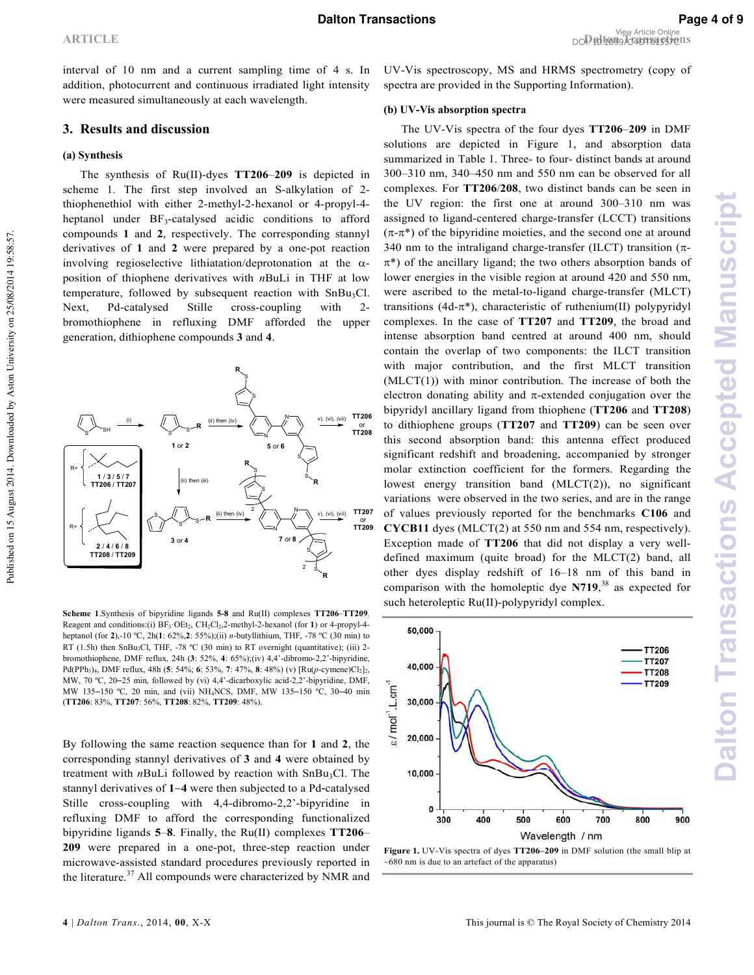interval of 10 nm and a current sampling time of 4 s. In addition, photocurrent and continuous irradiated light intensity were measured simultaneously at each wavelength.

#### **3. Results and discussion**

#### **(a) Synthesis**

The synthesis of Ru(II)-dyes TT206-209 is depicted in scheme 1. The first step involved an S-alkylation of 2thiophenethiol with either 2-methyl-2-hexanol or 4-propyl-4heptanol under BF<sub>3</sub>-catalysed acidic conditions to afford compounds **1** and **2**, respectively. The corresponding stannyl derivatives of 1 and 2 were prepared by a one-pot reaction involving regioselective lithiatation/deprotonation at the  $\alpha$ position of thiophene derivatives with  $nBuLi$  in THF at low temperature, followed by subsequent reaction with  $SnBu<sub>3</sub>Cl$ . Next, Pd-catalysed Stille cross-coupling with 2bromothiophene in refluxing DMF afforded the upper generation, dithiophene compounds **3** and **4**.



**Scheme 1**.Synthesis of bipyridine ligands **5 8** and Ru(II) complexes **TT206**–**TT209**. Reagent and conditions:(i) BF<sub>3</sub>·OEt<sub>2</sub>, CH<sub>2</sub>Cl<sub>2</sub>,2-methyl-2-hexanol (for **1**) or 4-propyl-4heptanol (for 2),-10 °C, 2h(1: 62%,2: 55%);(ii) *n*-butyllithium, THF, -78 °C (30 min) to RT (1.5h) then SnBu<sub>3</sub>Cl, THF, -78  $°C$  (30 min) to RT overnight (quantitative); (iii) 2bromothiophene, DMF reflux, 24h (3: 52%, 4: 65%);(iv) 4,4'-dibromo-2,2'-bipyridine, Pd(PPh<sub>3</sub>)<sub>4</sub>, DMF reflux, 48h (5: 54%; 6: 53%, 7: 47%, 8: 48%) (v) [Ru(p-cymene)Cl<sub>2</sub>]<sub>2</sub>, MW,  $70 \text{ °C}$ ,  $20-25 \text{ min}$ , followed by (vi)  $4.4'$ -dicarboxylic acid- $2.2'$ -bipyridine, DMF, MW 135-150 °C, 20 min, and (vii) NH<sub>4</sub>NCS, DMF, MW 135-150 °C, 30-40 min (**TT206**: 83%, **TT207**: 56%, **TT208**: 82%, **TT209**: 48%).

By following the same reaction sequence than for **1** and **2**, the corresponding stannyl derivatives of **3** and **4** were obtained by treatment with  $n$ BuLi followed by reaction with SnBu<sub>3</sub>Cl. The stannyl derivatives of 1–4 were then subjected to a Pd-catalysed Stille cross-coupling with  $4,4$ -dibromo-2,2'-bipyridine in refluxing DMF to afford the corresponding functionalized bipyridine ligands **5**‒**8**. Finally, the Ru(II) complexes **TT206**‒ 209 were prepared in a one-pot, three-step reaction under microwave-assisted standard procedures previously reported in the literature.<sup>37</sup> All compounds were characterized by NMR and

**Dalton Transactions Accepted Manuscript**

Dalton Transactions Accepted Manuscript

UV-Vis spectroscopy, MS and HRMS spectrometry (copy of spectra are provided in the Supporting Information).

#### **(b) UV Vis absorption spectra**

The UV-Vis spectra of the four dyes TT206-209 in DMF solutions are depicted in Figure 1, and absorption data summarized in Table 1. Three- to four- distinct bands at around 300‒310 nm, 340‒450 nm and 550 nm can be observed for all complexes. For **TT206**/**208**, two distinct bands can be seen in the UV region: the first one at around 300‒310 nm was assigned to ligand-centered charge-transfer (LCCT) transitions  $(\pi-\pi^*)$  of the bipyridine moieties, and the second one at around 340 nm to the intraligand charge-transfer (ILCT) transition  $(\pi$ - $\pi^*$ ) of the ancillary ligand; the two others absorption bands of lower energies in the visible region at around 420 and 550 nm, were ascribed to the metal-to-ligand charge-transfer (MLCT) transitions (4d- $\pi^*$ ), characteristic of ruthenium(II) polypyridyl complexes. In the case of **TT207** and **TT209**, the broad and intense absorption band centred at around 400 nm, should contain the overlap of two components: the ILCT transition with major contribution, and the first MLCT transition  $(MLCT(1))$  with minor contribution. The increase of both the electron donating ability and  $\pi$ -extended conjugation over the bipyridyl ancillary ligand from thiophene (**TT206** and **TT208**) to dithiophene groups (**TT207** and **TT209**) can be seen over this second absorption band: this antenna effect produced significant redshift and broadening, accompanied by stronger molar extinction coefficient for the formers. Regarding the lowest energy transition band (MLCT(2)), no significant variations were observed in the two series, and are in the range of values previously reported for the benchmarks **C106** and **CYCB11** dyes (MLCT(2) at 550 nm and 554 nm, respectively). Exception made of **TT206** that did not display a very well defined maximum (quite broad) for the MLCT(2) band, all other dyes display redshift of 16–18 nm of this band in comparison with the homoleptic dye **N719**, <sup>38</sup> as expected for such heteroleptic Ru(II)-polypyridyl complex.



Figure 1. UV-Vis spectra of dyes TT206-209 in DMF solution (the small blip at  $\sim$  680 nm is due to an artefact of the apparatus)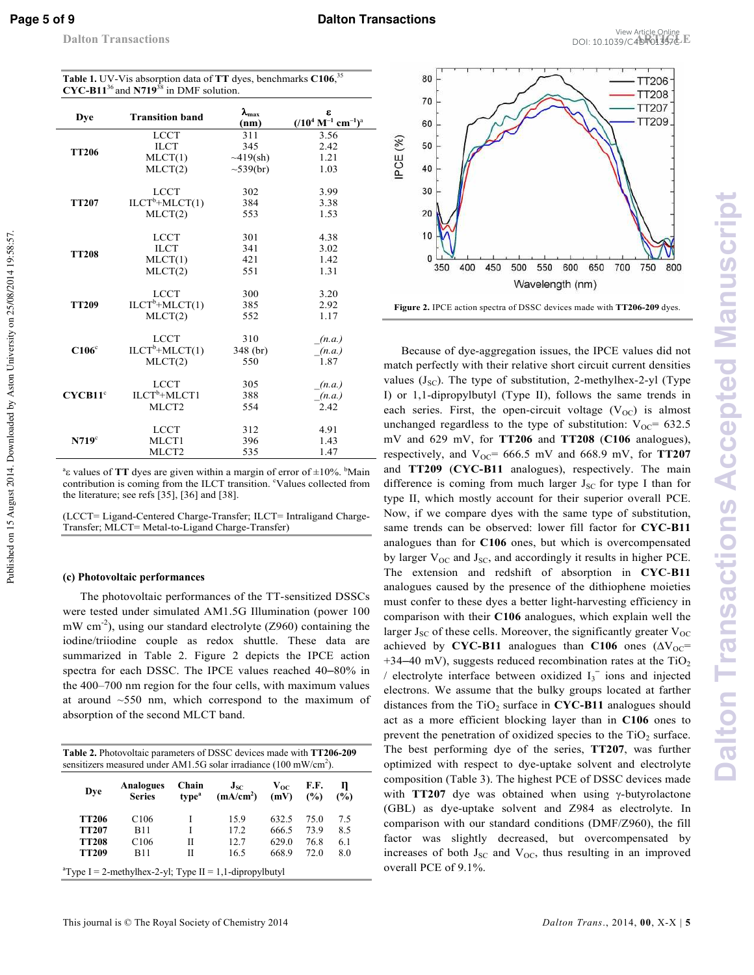Published on 15 August 2014. Downloaded by Aston University on 25/08/2014 19:58:57.

Published on 15 August 2014. Downloaded by Aston University on 25/08/2014 19:58:57

| <b>Dye</b>          | <b>Transition band</b>   | $\lambda_{\rm max}$<br>(nm) | ε<br>$(10^4 \text{ M}^{-1} \text{ cm}^{-1})^a$ |
|---------------------|--------------------------|-----------------------------|------------------------------------------------|
|                     | <b>LCCT</b>              | 311                         | 3.56                                           |
| <b>TT206</b>        | <b>ILCT</b>              | 345                         | 2.42                                           |
|                     | MLCT(1)                  | $\sim 419(\text{sh})$       | 1.21                                           |
|                     | MLCT(2)                  | $\sim 539(br)$              | 1.03                                           |
| <b>TT207</b>        | <b>LCCT</b>              | 302                         | 3.99                                           |
|                     | $ILCTb+MLCT(1)$          | 384                         | 3.38                                           |
|                     | MLCT(2)                  | 553                         | 1.53                                           |
|                     | <b>LCCT</b>              | 301                         | 4.38                                           |
|                     | <b>ILCT</b>              | 341                         | 3.02                                           |
| <b>TT208</b>        | MLCT(1)                  | 421                         | 1.42                                           |
|                     | MLCT(2)                  | 551                         | 1.31                                           |
|                     | <b>LCCT</b>              | 300                         | 3.20                                           |
| <b>TT209</b>        | $ILCTb+MLCT(1)$          | 385                         | 2.92                                           |
|                     | MLCT(2)                  | 552                         | 1.17                                           |
|                     | <b>LCCT</b>              | 310                         | (n.a.)                                         |
| C106 <sup>c</sup>   | $ILCTb+MLCT(1)$          | 348 (br)                    | (n.a.)                                         |
|                     | MLCT(2)                  | 550                         | 1.87                                           |
| CYCB11 <sup>c</sup> | <b>LCCT</b>              | 305                         | (n.a.)                                         |
|                     | ILCT <sup>b</sup> +MLCT1 | 388                         | (n.a.)                                         |
|                     | MLCT <sub>2</sub>        | 554                         | 2.42                                           |
|                     | <b>LCCT</b>              | 312                         | 4.91                                           |
| N719 <sup>c</sup>   | MLCT1                    | 396                         | 1.43                                           |
|                     | MLCT <sub>2</sub>        | 535                         | 1.47                                           |

Table 1. UV-Vis absorption data of TT dyes, benchmarks C106,<sup>35</sup>

<sup>a</sup>ε values of **TT** dyes are given within a margin of error of ±10%. <sup>b</sup>Main contribution is coming from the ILCT transition. "Values collected from the literature; see refs [35], [36] and [38].

(LCCT= Ligand-Centered Charge-Transfer; ILCT= Intraligand Charge-Transfer; MLCT= Metal-to-Ligand Charge-Transfer)

#### **(c) Photovoltaic performances**

The photovoltaic performances of the TT-sensitized DSSCs were tested under simulated AM1.5G Illumination (power 100 mW cm<sup>-2</sup>), using our standard electrolyte (Z960) containing the iodine/triiodine couple as redox shuttle. These data are summarized in Table 2. Figure 2 depicts the IPCE action spectra for each DSSC. The IPCE values reached 40-80% in the 400–700 nm region for the four cells, with maximum values at around  $\sim$ 550 nm, which correspond to the maximum of absorption of the second MLCT band.

| <b>Table 2.</b> Photovoltaic parameters of DSSC devices made with <b>TT206-209</b><br>sensitizers measured under AM1.5G solar irradiance (100 mW/cm <sup>2</sup> ). |                            |                            |                                   |                  |             |          |  |
|---------------------------------------------------------------------------------------------------------------------------------------------------------------------|----------------------------|----------------------------|-----------------------------------|------------------|-------------|----------|--|
| Dye                                                                                                                                                                 | Analogues<br><b>Series</b> | Chain<br>type <sup>a</sup> | $J_{SC}$<br>(mA/cm <sup>2</sup> ) | $V_{OC}$<br>(mV) | F.F.<br>(%) | Л<br>(%) |  |
| <b>TT206</b>                                                                                                                                                        | C <sub>106</sub>           |                            | 15.9                              | 632.5            | 75.0        | 7.5      |  |
| <b>TT207</b>                                                                                                                                                        | <b>B11</b>                 |                            | 172                               | 666.5            | 73.9        | 8.5      |  |
| <b>TT208</b>                                                                                                                                                        | C <sub>106</sub>           | П                          | 12.7                              | 629.0            | 76.8        | 6.1      |  |
| <b>TT209</b>                                                                                                                                                        | <b>B11</b>                 | П                          | 16.5                              | 668.9            | 72.O        | 8.0      |  |
| <sup>a</sup> Type I = 2-methylhex-2-yl; Type II = 1,1-dipropylbutyl                                                                                                 |                            |                            |                                   |                  |             |          |  |



**Figure 2.** IPCE action spectra of DSSC devices made with **TT206 209** dyes.

Because of dye-aggregation issues, the IPCE values did not match perfectly with their relative short circuit current densities values ( $J_{SC}$ ). The type of substitution, 2-methylhex-2-yl (Type I) or 1,1-dipropylbutyl (Type II), follows the same trends in each series. First, the open-circuit voltage  $(V_{OC})$  is almost unchanged regardless to the type of substitution:  $V_{OC}$  = 632.5 mV and 629 mV, for **TT206** and **TT208** (**C106** analogues), respectively, and  $V_{OC}$ = 666.5 mV and 668.9 mV, for **TT207** and **TT209** (**CYC B11** analogues), respectively. The main difference is coming from much larger  $J_{SC}$  for type I than for type II, which mostly account for their superior overall PCE. Now, if we compare dyes with the same type of substitution, same trends can be observed: lower fill factor for **CYC B11**  analogues than for **C106** ones, but which is overcompensated by larger  $V_{OC}$  and  $J_{SC}$ , and accordingly it results in higher PCE. The extension and redshift of absorption in **CYCB11** analogues caused by the presence of the dithiophene moieties must confer to these dyes a better light-harvesting efficiency in comparison with their **C106** analogues, which explain well the larger  $J_{SC}$  of these cells. Moreover, the significantly greater  $V_{OC}$ achieved by **CYC-B11** analogues than **C106** ones  $(\Delta V_{OC} =$  $+34-40$  mV), suggests reduced recombination rates at the TiO<sub>2</sub> / electrolyte interface between oxidized  $I_3$ <sup>-</sup> ions and injected electrons. We assume that the bulky groups located at farther distances from the  $TiO<sub>2</sub>$  surface in CYC-B11 analogues should act as a more efficient blocking layer than in **C106** ones to prevent the penetration of oxidized species to the  $TiO<sub>2</sub>$  surface. The best performing dye of the series, **TT207**, was further optimized with respect to dye-uptake solvent and electrolyte composition (Table 3). The highest PCE of DSSC devices made with **TT207** dye was obtained when using γ-butyrolactone (GBL) as dye-uptake solvent and Z984 as electrolyte. In comparison with our standard conditions (DMF/Z960), the fill factor was slightly decreased, but overcompensated by increases of both  $J_{SC}$  and  $V_{OC}$ , thus resulting in an improved overall PCE of 9.1%.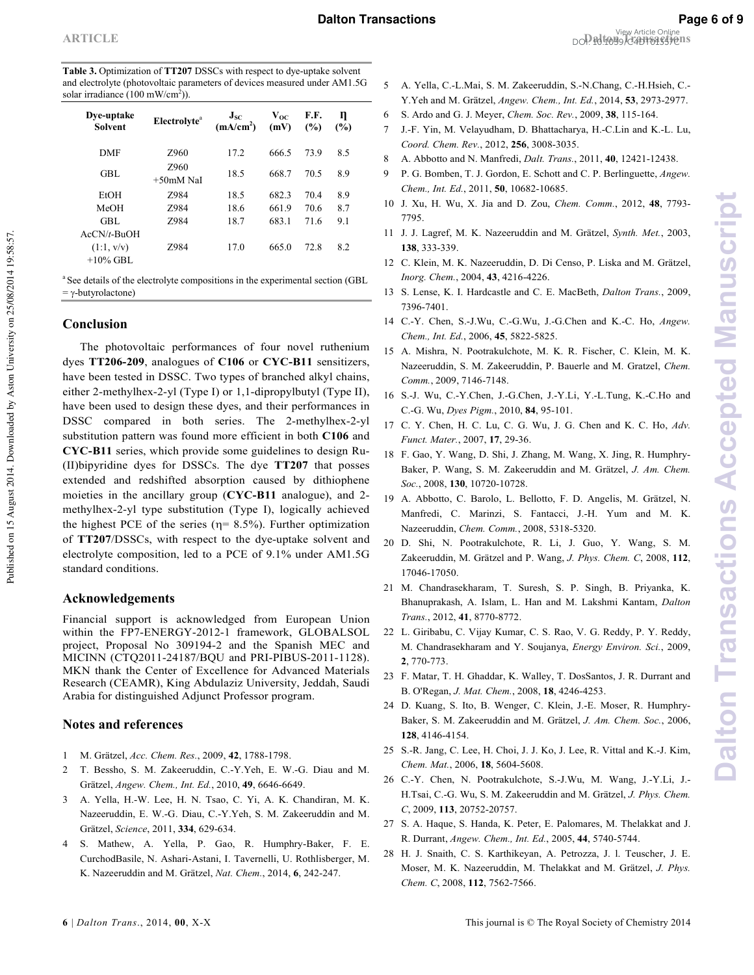| <b>ARTICLE</b> | View Article Online<br>DOP 101039/040101357019 |
|----------------|------------------------------------------------|
|----------------|------------------------------------------------|

| <b>Table 3.</b> Optimization of <b>TT207</b> DSSCs with respect to dye-uptake solvent |
|---------------------------------------------------------------------------------------|
| and electrolyte (photovoltaic parameters of devices measured under AM1.5G)            |
| solar irradiance $(100 \text{ mW/cm}^2)$ ).                                           |

|                              | ,,                       |                                   |                  |             |          |  |
|------------------------------|--------------------------|-----------------------------------|------------------|-------------|----------|--|
| Dye-uptake<br><b>Solvent</b> | Electrolyte <sup>a</sup> | $J_{SC}$<br>(mA/cm <sup>2</sup> ) | $V_{OC}$<br>(mV) | F.F.<br>(%) | η<br>(%) |  |
| <b>DMF</b>                   | Z960                     | 17.2                              | 666.5            | 73.9        | 8.5      |  |
| GBL                          | Z960<br>$+50$ mM NaI     | 18.5                              | 668.7            | 70.5        | 8.9      |  |
| EtOH                         | 7.984                    | 18.5                              | 682.3            | 70.4        | 8.9      |  |
| MeOH                         | 7.984                    | 18.6                              | 661.9            | 70.6        | 8.7      |  |
| GBL                          | 7.984                    | 18.7                              | 683.1            | 71.6        | 9.1      |  |
| $AcCN/t-BuOH$                |                          |                                   |                  |             |          |  |
| (1:1, v/v)<br>$+10\%$ GBL    | Z984                     | 17.0                              | 665.0            | 72.8        | 8.2      |  |
|                              |                          |                                   |                  |             |          |  |

<sup>a</sup> See details of the electrolyte compositions in the experimental section (GBL  $= \gamma$ -butyrolactone)

## **Conclusion**

Published on 15 August 2014. Downloaded by Aston University on 25/08/2014 19:58:57.

Published on 15 August 2014. Downloaded by Aston University on 25/08/2014 19:58:57

 The photovoltaic performances of four novel ruthenium dyes **TT206 209**, analogues of **C106** or **CYC B11** sensitizers, have been tested in DSSC. Two types of branched alkyl chains, either 2-methylhex-2-yl (Type I) or  $1,1$ -dipropylbutyl (Type II), have been used to design these dyes, and their performances in DSSC compared in both series. The 2-methylhex-2-yl substitution pattern was found more efficient in both **C106** and **CYC B11** series, which provide some guidelines to design Ru (II)bipyridine dyes for DSSCs. The dye **TT207** that posses extended and redshifted absorption caused by dithiophene moieties in the ancillary group (**CYC B11** analogue), and 2 methylhex-2-yl type substitution (Type I), logically achieved the highest PCE of the series ( $\eta$ = 8.5%). Further optimization of **TT207**/DSSCs, with respect to the dye-uptake solvent and electrolyte composition, led to a PCE of 9.1% under AM1.5G standard conditions.

## **Acknowledgements**

Financial support is acknowledged from European Union within the FP7-ENERGY-2012-1 framework, GLOBALSOL project, Proposal No 3091942 and the Spanish MEC and MICINN (CTQ2011-24187/BQU and PRI-PIBUS-2011-1128). MKN thank the Center of Excellence for Advanced Materials Research (CEAMR), King Abdulaziz University, Jeddah, Saudi Arabia for distinguished Adjunct Professor program.

## **Notes and references**

- 1 M. Grätzel, Acc. Chem. Res., 2009, 42, 1788-1798.
- 2 T. Bessho, S. M. Zakeeruddin, C.-Y.Yeh, E. W.-G. Diau and M. Grätzel, Angew. Chem., Int. Ed., 2010, 49, 6646-6649.
- 3 A. Yella, H.W. Lee, H. N. Tsao, C. Yi, A. K. Chandiran, M. K. Nazeeruddin, E. W.-G. Diau, C.-Y.Yeh, S. M. Zakeeruddin and M. Grätzel, Science, 2011, 334, 629-634.
- 4 S. Mathew, A. Yella, P. Gao, R. Humphry-Baker, F. E. CurchodBasile, N. Ashari-Astani, I. Tavernelli, U. Rothlisberger, M. K. Nazeeruddin and M. Grätzel, Nat. Chem., 2014, 6, 242-247.
- 5 A. Yella, C.-L.Mai, S. M. Zakeeruddin, S.-N.Chang, C.-H.Hsieh, C.-Y.Yeh and M. Grätzel, Angew. Chem., Int. Ed., 2014, 53, 2973-2977.
- 6 S. Ardo and G. J. Meyer, , 2009, **38**, 115164.
- 7 J.F. Yin, M. Velayudham, D. Bhattacharya, H.C.Lin and K.L. Lu, Coord. Chem. Rev., 2012, 256, 3008-3035.
- 8 A. Abbotto and N. Manfredi, *Dalt. Trans.*, 2011, 40, 12421-12438.
- 9 P. G. Bomben, T. J. Gordon, E. Schott and C. P. Berlinguette, Angew. Chem., Int. Ed., 2011, 50, 10682-10685.
- 10 J. Xu, H. Wu, X. Jia and D. Zou, *Chem. Comm.*, 2012, 48, 7793-7795.
- 11 J. J. Lagref, M. K. Nazeeruddin and M. Grätzel, *Synth. Met.*, 2003, 138, 333-339.
- 12 C. Klein, M. K. Nazeeruddin, D. Di Censo, P. Liska and M. Grätzel, Inorg. Chem., 2004, 43, 4216-4226.
- 13 S. Lense, K. I. Hardcastle and C. E. MacBeth, *Dalton Trans.*, 2009, 7396-7401.
- 14 C.-Y. Chen, S.-J.Wu, C.-G.Wu, J.-G.Chen and K.-C. Ho, *Angew*. Chem., Int. Ed., 2006, 45, 5822-5825.
- 15 A. Mishra, N. Pootrakulchote, M. K. R. Fischer, C. Klein, M. K. Nazeeruddin, S. M. Zakeeruddin, P. Bauerle and M. Gratzel,  Comm., 2009, 7146-7148.
- 16 S.J. Wu, C.Y.Chen, J.G.Chen, J.Y.Li, Y.L.Tung, K.C.Ho and C.-G. Wu, *Dyes Pigm.*, 2010, 84, 95-101.
- 17 C. Y. Chen, H. C. Lu, C. G. Wu, J. G. Chen and K. C. Ho, Adv. Funct. Mater., 2007, 17, 29-36.
- 18 F. Gao, Y. Wang, D. Shi, J. Zhang, M. Wang, X. Jing, R. Humphry Baker, P. Wang, S. M. Zakeeruddin and M. Grätzel, *J. Am. Chem.* Soc., 2008, 130, 10720-10728.
- 19 A. Abbotto, C. Barolo, L. Bellotto, F. D. Angelis, M. Grätzel, N. Manfredi, C. Marinzi, S. Fantacci, J.H. Yum and M. K. Nazeeruddin, *Chem. Comm.*, 2008, 5318-5320.
- 20 D. Shi, N. Pootrakulchote, R. Li, J. Guo, Y. Wang, S. M. Zakeeruddin, M. Grätzel and P. Wang, *J. Phys. Chem. C*, 2008, 112, 17046-17050.
- 21 M. Chandrasekharam, T. Suresh, S. P. Singh, B. Priyanka, K. Bhanuprakash, A. Islam, L. Han and M. Lakshmi Kantam, *Dalton Trans.*, 2012, 41, 8770-8772.
- 22 L. Giribabu, C. Vijay Kumar, C. S. Rao, V. G. Reddy, P. Y. Reddy, M. Chandrasekharam and Y. Soujanya, *Energy Environ. Sci.*, 2009, **2**, 770-773.
- 23 F. Matar, T. H. Ghaddar, K. Walley, T. DosSantos, J. R. Durrant and B. O'Regan, *J. Mat. Chem.*, 2008, 18, 4246-4253.
- 24 D. Kuang, S. Ito, B. Wenger, C. Klein, J.E. Moser, R. Humphry Baker, S. M. Zakeeruddin and M. Grätzel, *J. Am. Chem. Soc.*, 2006, **128.** 4146-4154.
- 25 S.R. Jang, C. Lee, H. Choi, J. J. Ko, J. Lee, R. Vittal and K.J. Kim, Chem. Mat., 2006, 18, 5604-5608.
- 26 C.Y. Chen, N. Pootrakulchote, S.J.Wu, M. Wang, J.Y.Li, J. H.Tsai, C.-G. Wu, S. M. Zakeeruddin and M. Grätzel, *J. Phys. Chem.* C, 2009, 113, 20752-20757.
- 27 S. A. Haque, S. Handa, K. Peter, E. Palomares, M. Thelakkat and J. R. Durrant, Angew. Chem., Int. Ed., 2005, 44, 5740-5744.
- 28 H. J. Snaith, C. S. Karthikeyan, A. Petrozza, J. l. Teuscher, J. E. Moser, M. K. Nazeeruddin, M. Thelakkat and M. Grätzel, *J. Phys.* Chem. C, 2008, 112, 7562-7566.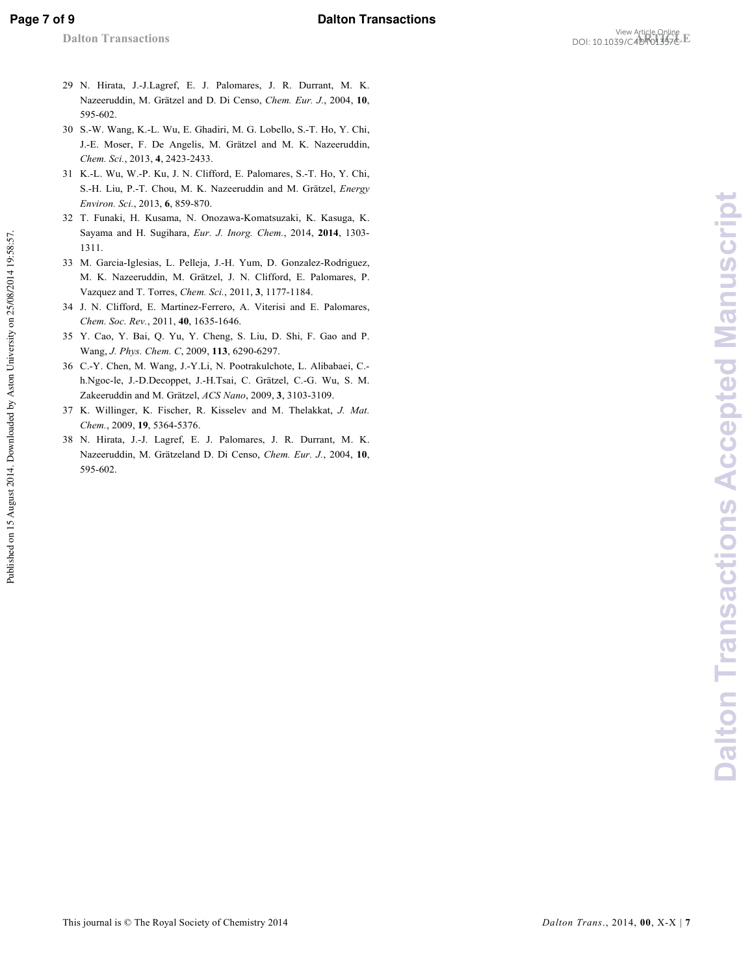Published on 15 August 2014. Downloaded by Aston University on 25/08/2014 19:58:57.

Published on 15 August 2014. Downloaded by Aston University on 25/08/2014 19:58:57.

- 29 N. Hirata, J.J.Lagref, E. J. Palomares, J. R. Durrant, M. K. Nazeeruddin, M. Grätzel and D. Di Censo, *Chem. Eur. J.*, 2004, 10, 595602.
- 30 S.W. Wang, K.L. Wu, E. Ghadiri, M. G. Lobello, S.T. Ho, Y. Chi, J.E. Moser, F. De Angelis, M. Grätzel and M. K. Nazeeruddin, Chem. Sci., 2013, 4, 2423-2433.
- 31 K.L. Wu, W.P. Ku, J. N. Clifford, E. Palomares, S.T. Ho, Y. Chi, S.-H. Liu, P.-T. Chou, M. K. Nazeeruddin and M. Grätzel, *Energy* Environ. Sci., 2013, 6, 859-870.
- 32 T. Funaki, H. Kusama, N. Onozawa-Komatsuzaki, K. Kasuga, K. Sayama and H. Sugihara, *Eur. J. Inorg. Chem.*, 2014, 2014, 1303-1311.
- 33 M. Garcia-Iglesias, L. Pelleja, J.-H. Yum, D. Gonzalez-Rodriguez, M. K. Nazeeruddin, M. Grätzel, J. N. Clifford, E. Palomares, P. Vazquez and T. Torres, *Chem. Sci.*, 2011, 3, 1177-1184.
- 34 J. N. Clifford, E. Martinez-Ferrero, A. Viterisi and E. Palomares, Chem. Soc. Rev., 2011, 40, 1635-1646.
- 35 Y. Cao, Y. Bai, Q. Yu, Y. Cheng, S. Liu, D. Shi, F. Gao and P. Wang, *J. Phys. Chem. C*, 2009, 113, 6290-6297.
- 36 C.Y. Chen, M. Wang, J.Y.Li, N. Pootrakulchote, L. Alibabaei, C. h.Ngoc-le, J.-D.Decoppet, J.-H.Tsai, C. Grätzel, C.-G. Wu, S. M. Zakeeruddin and M. Grätzel, *ACS Nano*, 2009, 3, 3103-3109.
- 37 K. Willinger, K. Fischer, R. Kisselev and M. Thelakkat, *J. Mat.* Chem., 2009, 19, 5364-5376.
- 38 N. Hirata, J.J. Lagref, E. J. Palomares, J. R. Durrant, M. K. Nazeeruddin, M. Grätzeland D. Di Censo, Chem. Eur. J., 2004, 10, 595602.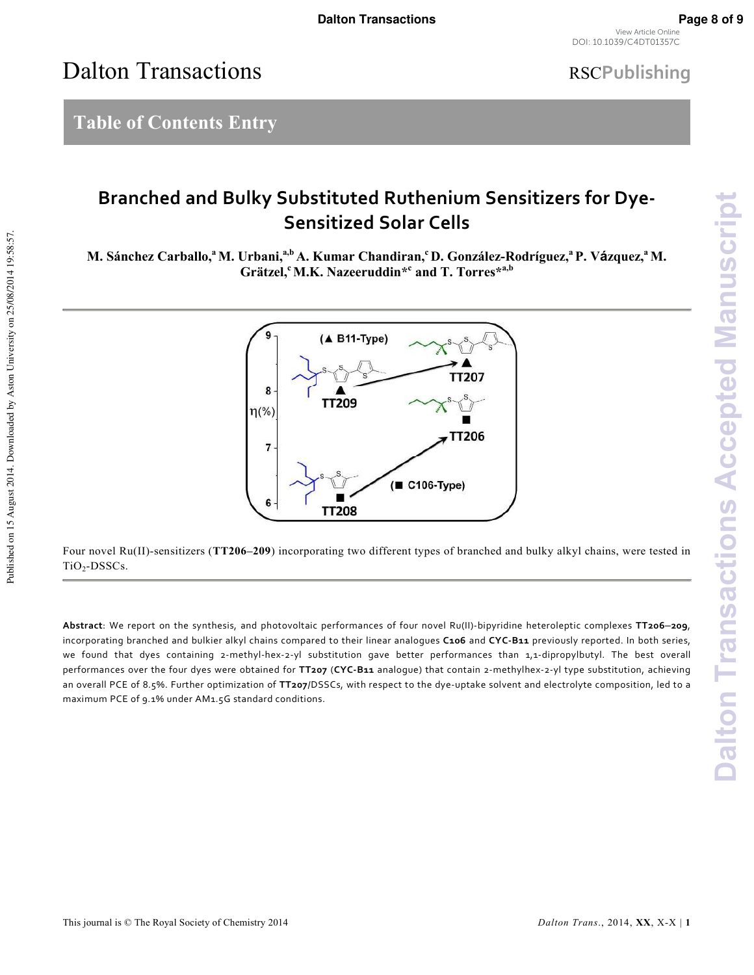View Article Online DOI: 10.1039/C4DT01357C

# Dalton Transactions

# **RSCPublishing**

# **Table of Contents Entry**

Published on 15 August 2014. Downloaded by Aston University on 25/08/2014 19:58:57.

Published on 15 August 2014. Downloaded by Aston University on 25/08/2014 19:58:57.

## **Branched and Bulky Substituted Ruthenium Sensitizers for Dye-Sensitized Solar Cells**

**M. Sánchez Carballo,<sup>a</sup>M. Urbani,a,b A. Kumar Chandiran,<sup>c</sup>D. González#Rodríguez,<sup>a</sup>P. Vzquez,<sup>a</sup>M. Grätzel,<sup>c</sup>M.K. Nazeeruddin\*<sup>c</sup> and T. Torres\*a,b** 



Four novel Ru(II)-sensitizers (TT206–209) incorporating two different types of branched and bulky alkyl chains, were tested in  $TiO<sub>2</sub>-DSSCs$ .

**Abstract**: We report on the synthesis, and photovoltaic performances of four novel Ru(II)-bipyridine heteroleptic complexes **TT206**‒**209**, incorporating branched and bulkier alkyl chains compared to their linear analogues **C106** and **CYC-B11** previously reported. In both series, we found that dyes containing 2-methyl-hex-2-yl substitution gave better performances than 1,1-dipropylbutyl. The best overall performances over the four dyes were obtained for **TT207** (**CYC-B11** analogue) that contain 2-methylhex-2-yl type substitution, achieving an overall PCE of 8.5%. Further optimization of **TT207**/DSSCs, with respect to the dye-uptake solvent and electrolyte composition, led to a maximum PCE of 9.1% under AM1.5G standard conditions.